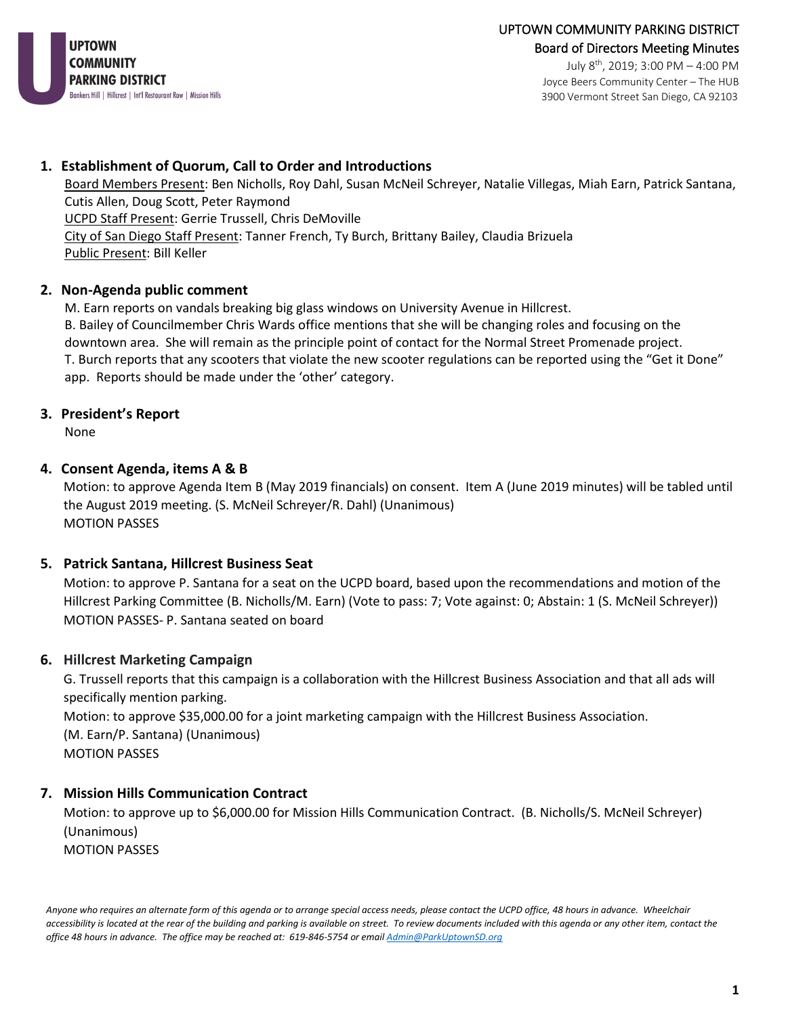

July 8th, 2019; 3:00 PM – 4:00 PM Joyce Beers Community Center – The HUB 3900 Vermont Street San Diego, CA 92103

### **1. Establishment of Quorum, Call to Order and Introductions**

Board Members Present: Ben Nicholls, Roy Dahl, Susan McNeil Schreyer, Natalie Villegas, Miah Earn, Patrick Santana, Cutis Allen, Doug Scott, Peter Raymond UCPD Staff Present: Gerrie Trussell, Chris DeMoville City of San Diego Staff Present: Tanner French, Ty Burch, Brittany Bailey, Claudia Brizuela Public Present: Bill Keller

#### **2. Non-Agenda public comment**

M. Earn reports on vandals breaking big glass windows on University Avenue in Hillcrest. B. Bailey of Councilmember Chris Wards office mentions that she will be changing roles and focusing on the downtown area. She will remain as the principle point of contact for the Normal Street Promenade project. T. Burch reports that any scooters that violate the new scooter regulations can be reported using the "Get it Done" app. Reports should be made under the 'other' category.

### **3. President's Report**

None

#### **4. Consent Agenda, items A & B**

Motion: to approve Agenda Item B (May 2019 financials) on consent. Item A (June 2019 minutes) will be tabled until the August 2019 meeting. (S. McNeil Schreyer/R. Dahl) (Unanimous) MOTION PASSES

### **5. Patrick Santana, Hillcrest Business Seat**

Motion: to approve P. Santana for a seat on the UCPD board, based upon the recommendations and motion of the Hillcrest Parking Committee (B. Nicholls/M. Earn) (Vote to pass: 7; Vote against: 0; Abstain: 1 (S. McNeil Schreyer)) MOTION PASSES- P. Santana seated on board

### **6. Hillcrest Marketing Campaign**

G. Trussell reports that this campaign is a collaboration with the Hillcrest Business Association and that all ads will specifically mention parking. Motion: to approve \$35,000.00 for a joint marketing campaign with the Hillcrest Business Association. (M. Earn/P. Santana) (Unanimous)

MOTION PASSES

### **7. Mission Hills Communication Contract**

Motion: to approve up to \$6,000.00 for Mission Hills Communication Contract. (B. Nicholls/S. McNeil Schreyer) (Unanimous) MOTION PASSES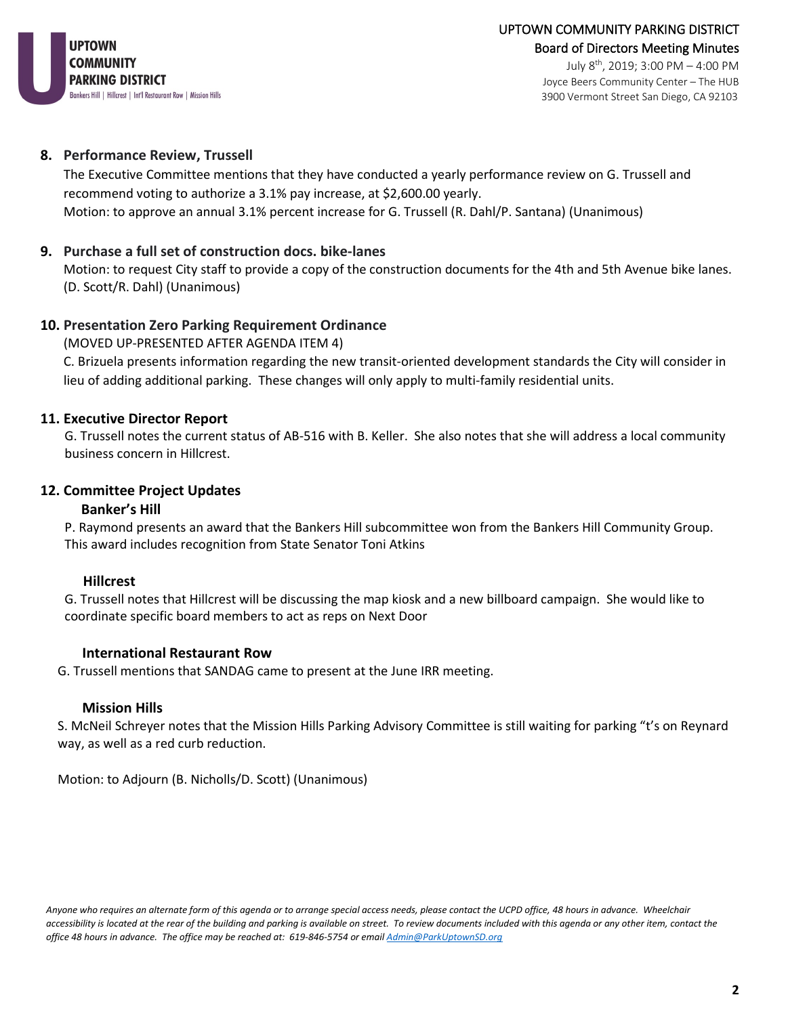

July 8th, 2019; 3:00 PM – 4:00 PM Joyce Beers Community Center – The HUB 3900 Vermont Street San Diego, CA 92103

#### **8. Performance Review, Trussell**

The Executive Committee mentions that they have conducted a yearly performance review on G. Trussell and recommend voting to authorize a 3.1% pay increase, at \$2,600.00 yearly. Motion: to approve an annual 3.1% percent increase for G. Trussell (R. Dahl/P. Santana) (Unanimous)

### **9. Purchase a full set of construction docs. bike-lanes**

Motion: to request City staff to provide a copy of the construction documents for the 4th and 5th Avenue bike lanes. (D. Scott/R. Dahl) (Unanimous)

#### **10. Presentation Zero Parking Requirement Ordinance**

(MOVED UP-PRESENTED AFTER AGENDA ITEM 4)

C. Brizuela presents information regarding the new transit-oriented development standards the City will consider in lieu of adding additional parking. These changes will only apply to multi-family residential units.

#### **11. Executive Director Report**

G. Trussell notes the current status of AB-516 with B. Keller. She also notes that she will address a local community business concern in Hillcrest.

#### **12. Committee Project Updates**

#### **Banker's Hill**

P. Raymond presents an award that the Bankers Hill subcommittee won from the Bankers Hill Community Group. This award includes recognition from State Senator Toni Atkins

### **Hillcrest**

G. Trussell notes that Hillcrest will be discussing the map kiosk and a new billboard campaign. She would like to coordinate specific board members to act as reps on Next Door

#### **International Restaurant Row**

G. Trussell mentions that SANDAG came to present at the June IRR meeting.

#### **Mission Hills**

S. McNeil Schreyer notes that the Mission Hills Parking Advisory Committee is still waiting for parking "t's on Reynard way, as well as a red curb reduction.

Motion: to Adjourn (B. Nicholls/D. Scott) (Unanimous)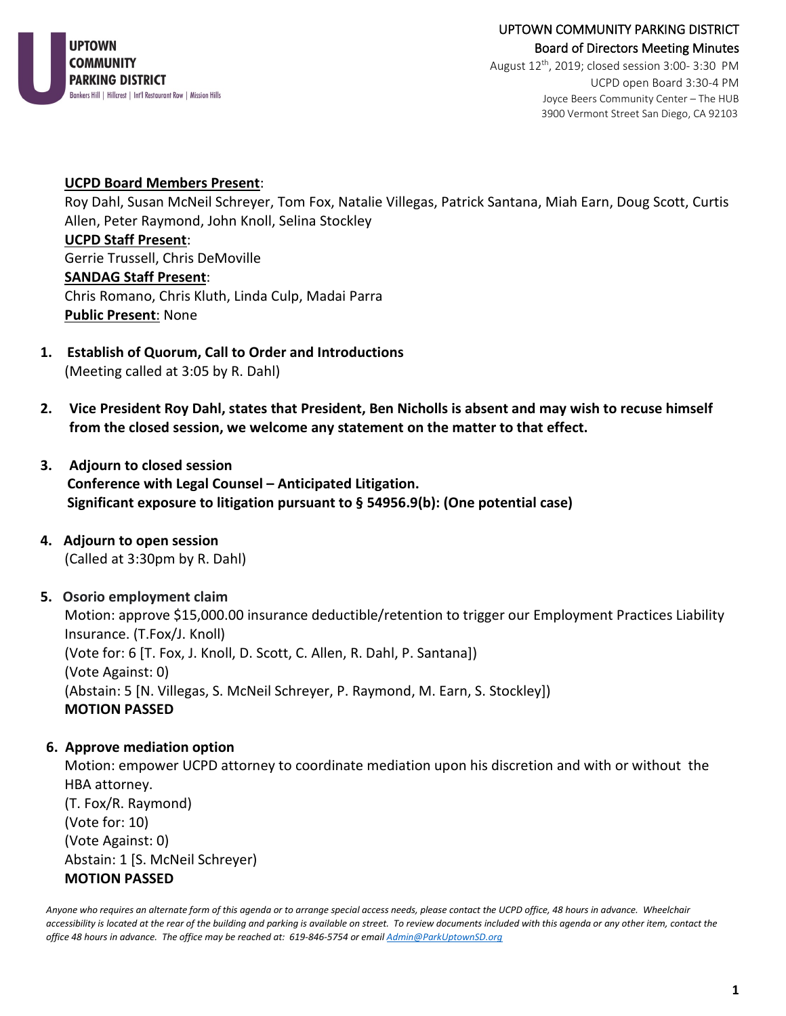

# UPTOWN COMMUNITY PARKING DISTRICT Board of Directors Meeting Minutes

August  $12^{th}$ , 2019; closed session 3:00-3:30 PM UCPD open Board 3:30-4 PM Joyce Beers Community Center – The HUB 3900 Vermont Street San Diego, CA 92103

### **UCPD Board Members Present**:

Roy Dahl, Susan McNeil Schreyer, Tom Fox, Natalie Villegas, Patrick Santana, Miah Earn, Doug Scott, Curtis Allen, Peter Raymond, John Knoll, Selina Stockley **UCPD Staff Present**: Gerrie Trussell, Chris DeMoville **SANDAG Staff Present**: Chris Romano, Chris Kluth, Linda Culp, Madai Parra **Public Present**: None

- **1. Establish of Quorum, Call to Order and Introductions** (Meeting called at 3:05 by R. Dahl)
- **2. Vice President Roy Dahl, states that President, Ben Nicholls is absent and may wish to recuse himself from the closed session, we welcome any statement on the matter to that effect.**
- **3. Adjourn to closed session Conference with Legal Counsel – Anticipated Litigation. Significant exposure to litigation pursuant to § 54956.9(b): (One potential case)**
- **4. Adjourn to open session**  (Called at 3:30pm by R. Dahl)
- **5. Osorio employment claim**

Motion: approve \$15,000.00 insurance deductible/retention to trigger our Employment Practices Liability Insurance. (T.Fox/J. Knoll) (Vote for: 6 [T. Fox, J. Knoll, D. Scott, C. Allen, R. Dahl, P. Santana]) (Vote Against: 0) (Abstain: 5 [N. Villegas, S. McNeil Schreyer, P. Raymond, M. Earn, S. Stockley]) **MOTION PASSED**

# **6. Approve mediation option**

Motion: empower UCPD attorney to coordinate mediation upon his discretion and with or without the HBA attorney. (T. Fox/R. Raymond) (Vote for: 10) (Vote Against: 0) Abstain: 1 [S. McNeil Schreyer) **MOTION PASSED**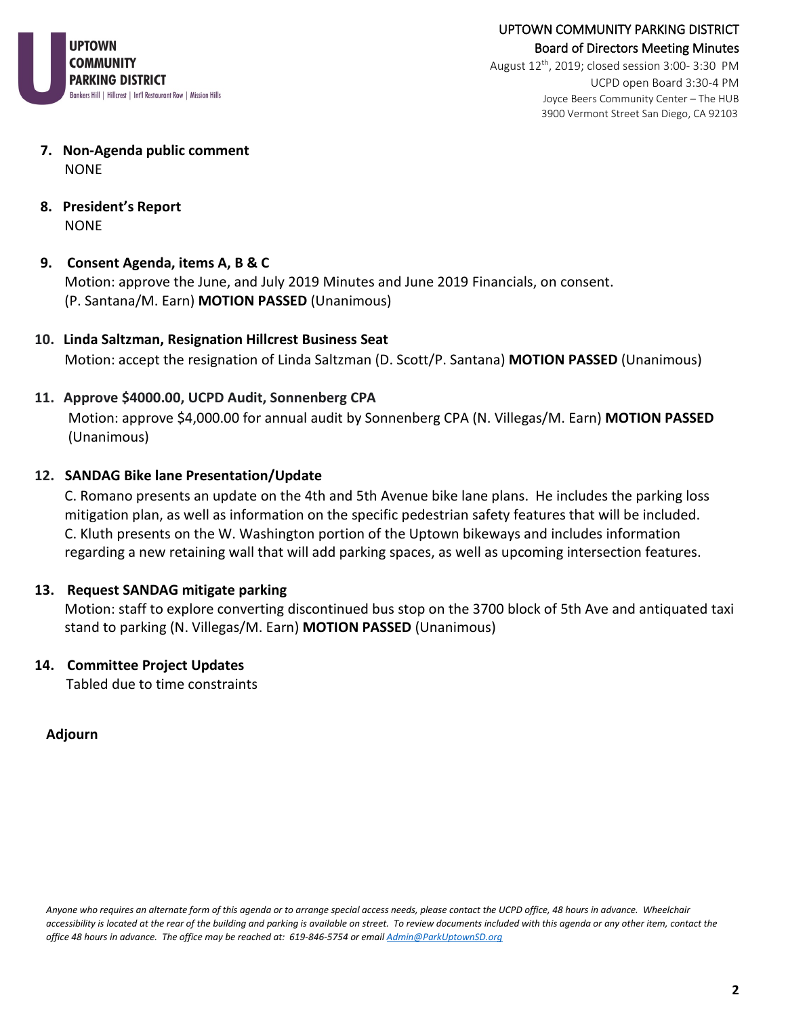

August  $12^{th}$ , 2019; closed session 3:00-3:30 PM UCPD open Board 3:30-4 PM Joyce Beers Community Center – The HUB 3900 Vermont Street San Diego, CA 92103

- **7. Non-Agenda public comment** NONE
- **8. President's Report** NONE

# **9. Consent Agenda, items A, B & C**

Motion: approve the June, and July 2019 Minutes and June 2019 Financials, on consent. (P. Santana/M. Earn) **MOTION PASSED** (Unanimous)

**10. Linda Saltzman, Resignation Hillcrest Business Seat** Motion: accept the resignation of Linda Saltzman (D. Scott/P. Santana) **MOTION PASSED** (Unanimous)

# **11. Approve \$4000.00, UCPD Audit, Sonnenberg CPA**

Motion: approve \$4,000.00 for annual audit by Sonnenberg CPA (N. Villegas/M. Earn) **MOTION PASSED** (Unanimous)

# **12. SANDAG Bike lane Presentation/Update**

C. Romano presents an update on the 4th and 5th Avenue bike lane plans. He includes the parking loss mitigation plan, as well as information on the specific pedestrian safety features that will be included. C. Kluth presents on the W. Washington portion of the Uptown bikeways and includes information regarding a new retaining wall that will add parking spaces, as well as upcoming intersection features.

# **13. Request SANDAG mitigate parking**

Motion: staff to explore converting discontinued bus stop on the 3700 block of 5th Ave and antiquated taxi stand to parking (N. Villegas/M. Earn) **MOTION PASSED** (Unanimous)

### **14. Committee Project Updates**

Tabled due to time constraints

# **Adjourn**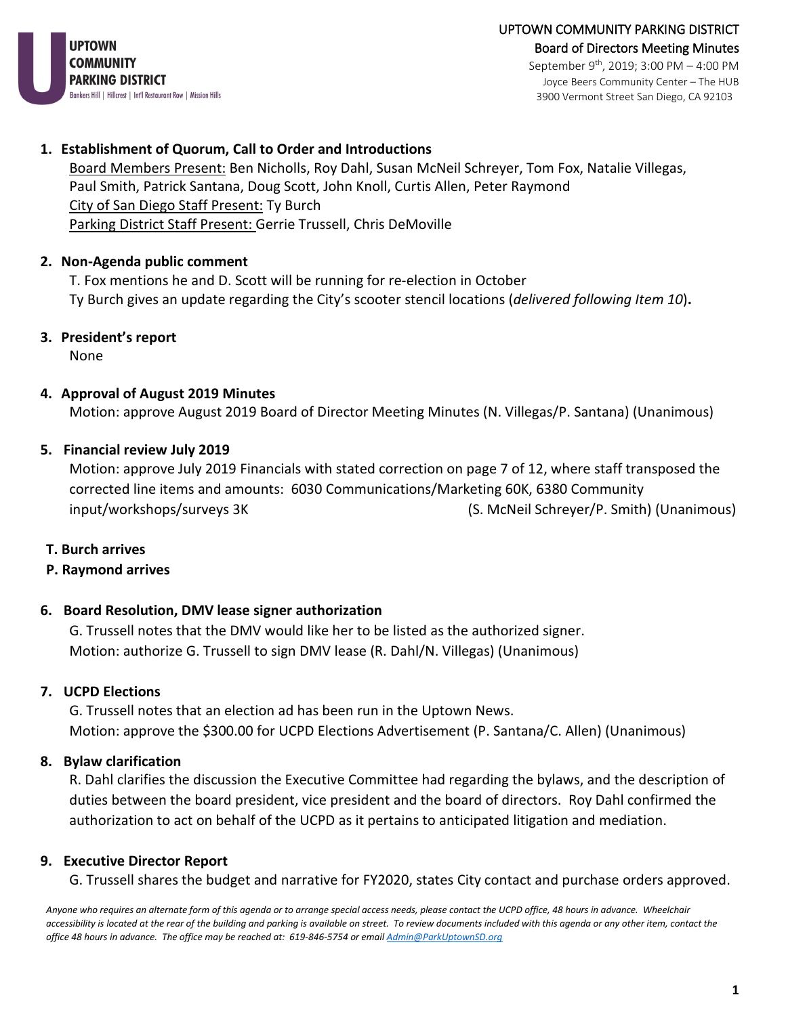

Joyce Beers Community Center – The HUB 3900 Vermont Street San Diego, CA 92103

# **1. Establishment of Quorum, Call to Order and Introductions**

Board Members Present: Ben Nicholls, Roy Dahl, Susan McNeil Schreyer, Tom Fox, Natalie Villegas, Paul Smith, Patrick Santana, Doug Scott, John Knoll, Curtis Allen, Peter Raymond City of San Diego Staff Present: Ty Burch Parking District Staff Present: Gerrie Trussell, Chris DeMoville

# **2. Non-Agenda public comment**

T. Fox mentions he and D. Scott will be running for re-election in October Ty Burch gives an update regarding the City's scooter stencil locations (*delivered following Item 10*)**.** 

**3. President's report**

None

# **4. Approval of August 2019 Minutes**

Motion: approve August 2019 Board of Director Meeting Minutes (N. Villegas/P. Santana) (Unanimous)

### **5. Financial review July 2019**

Motion: approve July 2019 Financials with stated correction on page 7 of 12, where staff transposed the corrected line items and amounts: 6030 Communications/Marketing 60K, 6380 Community input/workshops/surveys 3K (S. McNeil Schreyer/P. Smith) (Unanimous)

# **T. Burch arrives**

### **P. Raymond arrives**

# **6. Board Resolution, DMV lease signer authorization**

G. Trussell notes that the DMV would like her to be listed as the authorized signer. Motion: authorize G. Trussell to sign DMV lease (R. Dahl/N. Villegas) (Unanimous)

### **7. UCPD Elections**

G. Trussell notes that an election ad has been run in the Uptown News. Motion: approve the \$300.00 for UCPD Elections Advertisement (P. Santana/C. Allen) (Unanimous)

# **8. Bylaw clarification**

R. Dahl clarifies the discussion the Executive Committee had regarding the bylaws, and the description of duties between the board president, vice president and the board of directors. Roy Dahl confirmed the authorization to act on behalf of the UCPD as it pertains to anticipated litigation and mediation.

# **9. Executive Director Report**

G. Trussell shares the budget and narrative for FY2020, states City contact and purchase orders approved.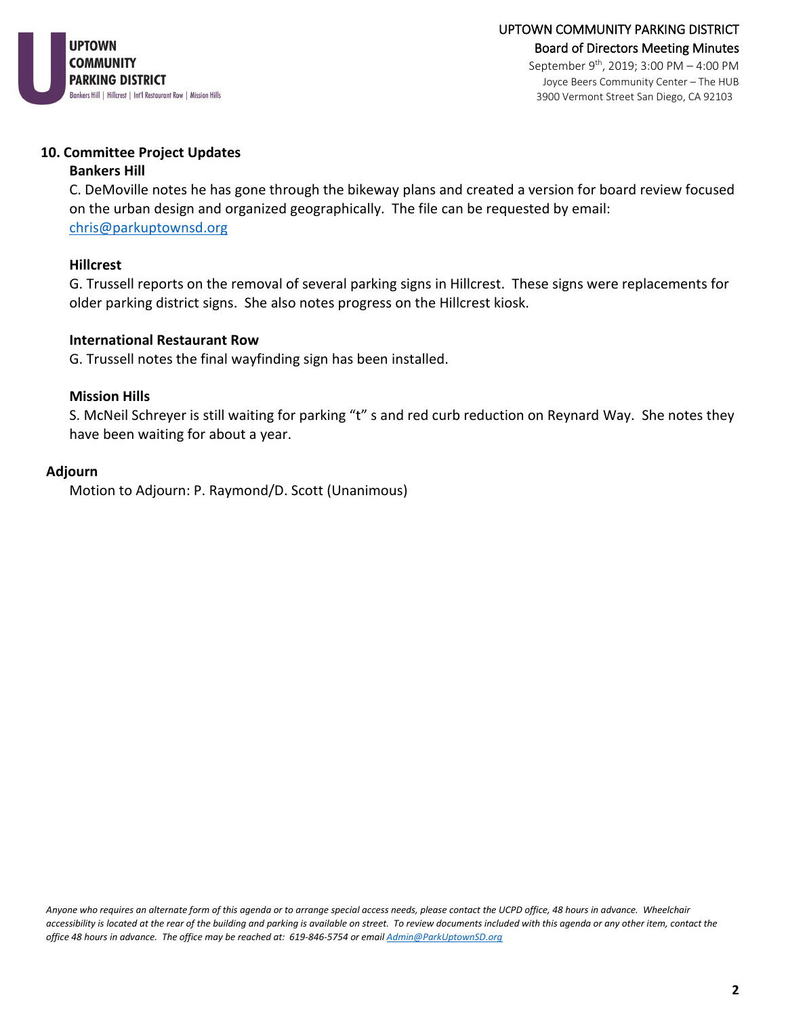

#### **10. Committee Project Updates**

#### **Bankers Hill**

C. DeMoville notes he has gone through the bikeway plans and created a version for board review focused on the urban design and organized geographically. The file can be requested by email: [chris@parkuptownsd.org](mailto:chris@parkuptownsd.org)

#### **Hillcrest**

G. Trussell reports on the removal of several parking signs in Hillcrest. These signs were replacements for older parking district signs. She also notes progress on the Hillcrest kiosk.

### **International Restaurant Row**

G. Trussell notes the final wayfinding sign has been installed.

#### **Mission Hills**

S. McNeil Schreyer is still waiting for parking "t" s and red curb reduction on Reynard Way. She notes they have been waiting for about a year.

#### **Adjourn**

Motion to Adjourn: P. Raymond/D. Scott (Unanimous)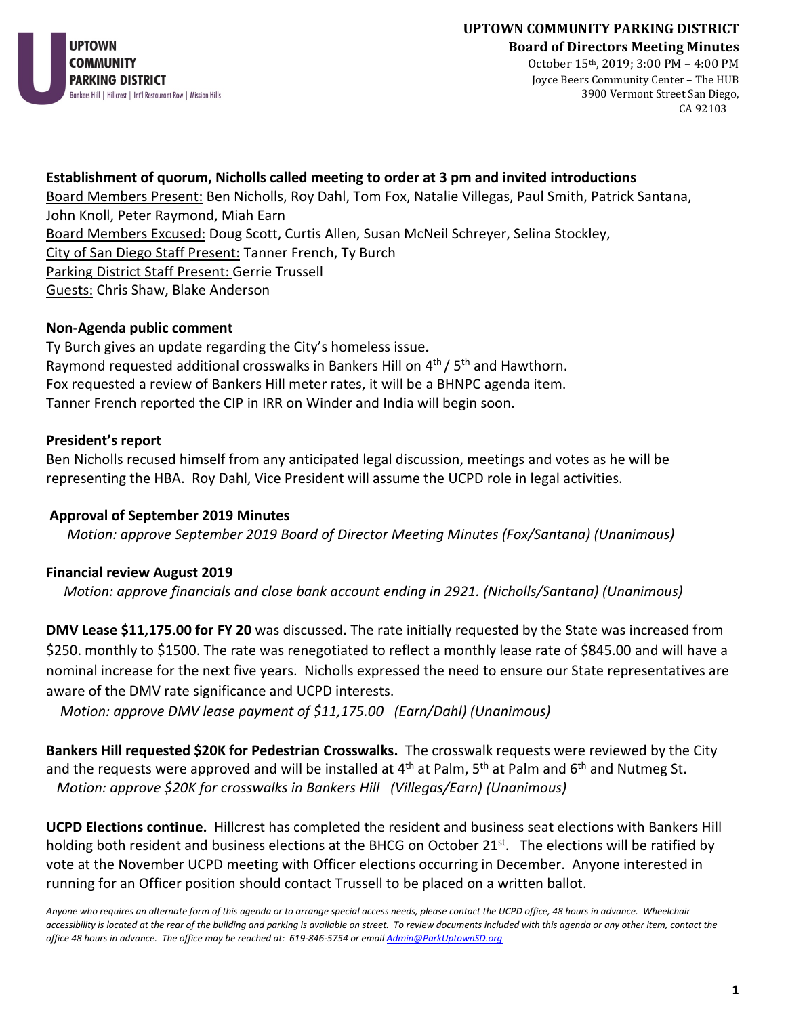

October 15th, 2019; 3:00 PM – 4:00 PM Joyce Beers Community Center – The HUB 3900 Vermont Street San Diego, CA 92103

# **Establishment of quorum, Nicholls called meeting to order at 3 pm and invited introductions**

Board Members Present: Ben Nicholls, Roy Dahl, Tom Fox, Natalie Villegas, Paul Smith, Patrick Santana, John Knoll, Peter Raymond, Miah Earn Board Members Excused: Doug Scott, Curtis Allen, Susan McNeil Schreyer, Selina Stockley, City of San Diego Staff Present: Tanner French, Ty Burch Parking District Staff Present: Gerrie Trussell Guests: Chris Shaw, Blake Anderson

# **Non-Agenda public comment**

Ty Burch gives an update regarding the City's homeless issue**.**  Raymond requested additional crosswalks in Bankers Hill on 4<sup>th</sup> / 5<sup>th</sup> and Hawthorn. Fox requested a review of Bankers Hill meter rates, it will be a BHNPC agenda item. Tanner French reported the CIP in IRR on Winder and India will begin soon.

# **President's report**

Ben Nicholls recused himself from any anticipated legal discussion, meetings and votes as he will be representing the HBA. Roy Dahl, Vice President will assume the UCPD role in legal activities.

# **Approval of September 2019 Minutes**

 *Motion: approve September 2019 Board of Director Meeting Minutes (Fox/Santana) (Unanimous)*

# **Financial review August 2019**

*Motion: approve financials and close bank account ending in 2921. (Nicholls/Santana) (Unanimous)*

**DMV Lease \$11,175.00 for FY 20** was discussed**.** The rate initially requested by the State was increased from \$250. monthly to \$1500. The rate was renegotiated to reflect a monthly lease rate of \$845.00 and will have a nominal increase for the next five years. Nicholls expressed the need to ensure our State representatives are aware of the DMV rate significance and UCPD interests.

*Motion: approve DMV lease payment of \$11,175.00 (Earn/Dahl) (Unanimous)*

**Bankers Hill requested \$20K for Pedestrian Crosswalks.** The crosswalk requests were reviewed by the City and the requests were approved and will be installed at  $4<sup>th</sup>$  at Palm, 5<sup>th</sup> at Palm and 6<sup>th</sup> and Nutmeg St. *Motion: approve \$20K for crosswalks in Bankers Hill (Villegas/Earn) (Unanimous)*

**UCPD Elections continue.** Hillcrest has completed the resident and business seat elections with Bankers Hill holding both resident and business elections at the BHCG on October 21st.The elections will be ratified by vote at the November UCPD meeting with Officer elections occurring in December. Anyone interested in running for an Officer position should contact Trussell to be placed on a written ballot.

*Anyone who requires an alternate form of this agenda or to arrange special access needs, please contact the UCPD office, 48 hours in advance. Wheelchair*  accessibility is located at the rear of the building and parking is available on street. To review documents included with this agenda or any other item, contact the *office 48 hours in advance. The office may be reached at: 619-846-5754 or emai[l Admin@ParkUptownSD.org](about:blank)*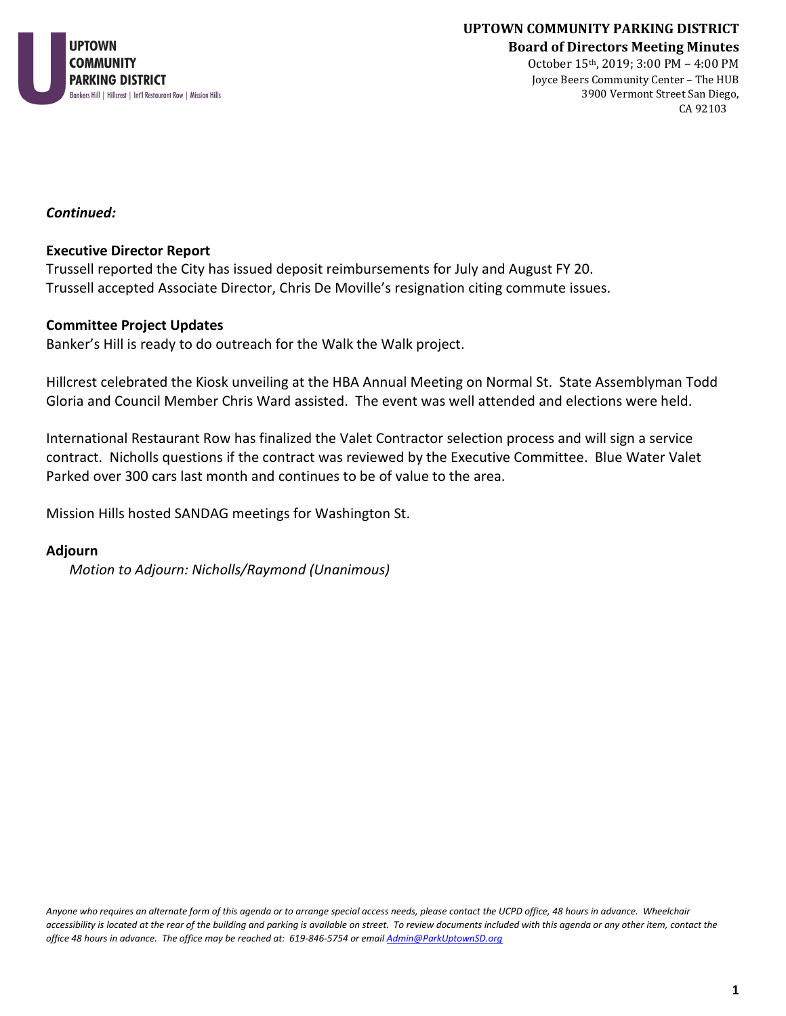

October 15th, 2019; 3:00 PM – 4:00 PM Joyce Beers Community Center – The HUB 3900 Vermont Street San Diego, CA 92103

*Continued:*

#### **Executive Director Report**

Trussell reported the City has issued deposit reimbursements for July and August FY 20. Trussell accepted Associate Director, Chris De Moville's resignation citing commute issues.

#### **Committee Project Updates**

Banker's Hill is ready to do outreach for the Walk the Walk project.

Hillcrest celebrated the Kiosk unveiling at the HBA Annual Meeting on Normal St. State Assemblyman Todd Gloria and Council Member Chris Ward assisted. The event was well attended and elections were held.

International Restaurant Row has finalized the Valet Contractor selection process and will sign a service contract. Nicholls questions if the contract was reviewed by the Executive Committee. Blue Water Valet Parked over 300 cars last month and continues to be of value to the area.

Mission Hills hosted SANDAG meetings for Washington St.

#### **Adjourn**

*Motion to Adjourn: Nicholls/Raymond (Unanimous)*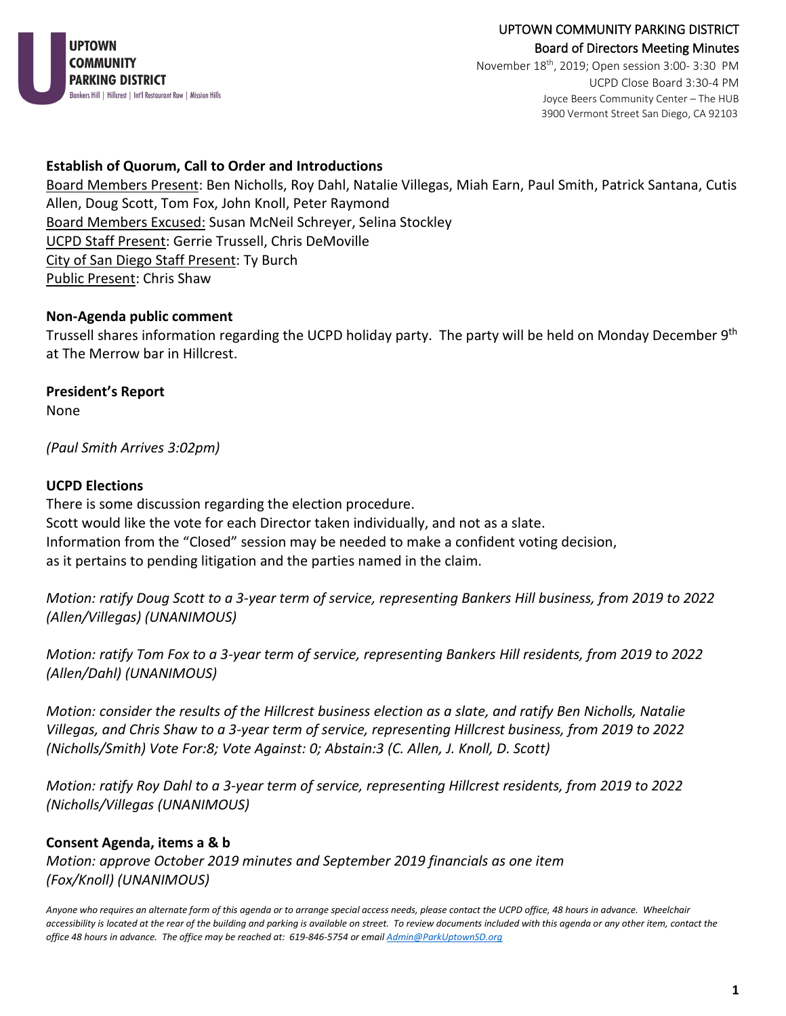

# UPTOWN COMMUNITY PARKING DISTRICT Board of Directors Meeting Minutes

November 18th, 2019; Open session 3:00- 3:30 PM UCPD Close Board 3:30-4 PM Joyce Beers Community Center – The HUB 3900 Vermont Street San Diego, CA 92103

# **Establish of Quorum, Call to Order and Introductions**

Board Members Present: Ben Nicholls, Roy Dahl, Natalie Villegas, Miah Earn, Paul Smith, Patrick Santana, Cutis Allen, Doug Scott, Tom Fox, John Knoll, Peter Raymond Board Members Excused: Susan McNeil Schreyer, Selina Stockley UCPD Staff Present: Gerrie Trussell, Chris DeMoville City of San Diego Staff Present: Ty Burch Public Present: Chris Shaw

### **Non-Agenda public comment**

Trussell shares information regarding the UCPD holiday party. The party will be held on Monday December 9th at The Merrow bar in Hillcrest.

# **President's Report**

None

*(Paul Smith Arrives 3:02pm)*

### **UCPD Elections**

There is some discussion regarding the election procedure. Scott would like the vote for each Director taken individually, and not as a slate. Information from the "Closed" session may be needed to make a confident voting decision, as it pertains to pending litigation and the parties named in the claim.

*Motion: ratify Doug Scott to a 3-year term of service, representing Bankers Hill business, from 2019 to 2022 (Allen/Villegas) (UNANIMOUS)* 

*Motion: ratify Tom Fox to a 3-year term of service, representing Bankers Hill residents, from 2019 to 2022 (Allen/Dahl) (UNANIMOUS)*

*Motion: consider the results of the Hillcrest business election as a slate, and ratify Ben Nicholls, Natalie Villegas, and Chris Shaw to a 3-year term of service, representing Hillcrest business, from 2019 to 2022 (Nicholls/Smith) Vote For:8; Vote Against: 0; Abstain:3 (C. Allen, J. Knoll, D. Scott)*

*Motion: ratify Roy Dahl to a 3-year term of service, representing Hillcrest residents, from 2019 to 2022 (Nicholls/Villegas (UNANIMOUS)* 

# **Consent Agenda, items a & b**

*Motion: approve October 2019 minutes and September 2019 financials as one item (Fox/Knoll) (UNANIMOUS)*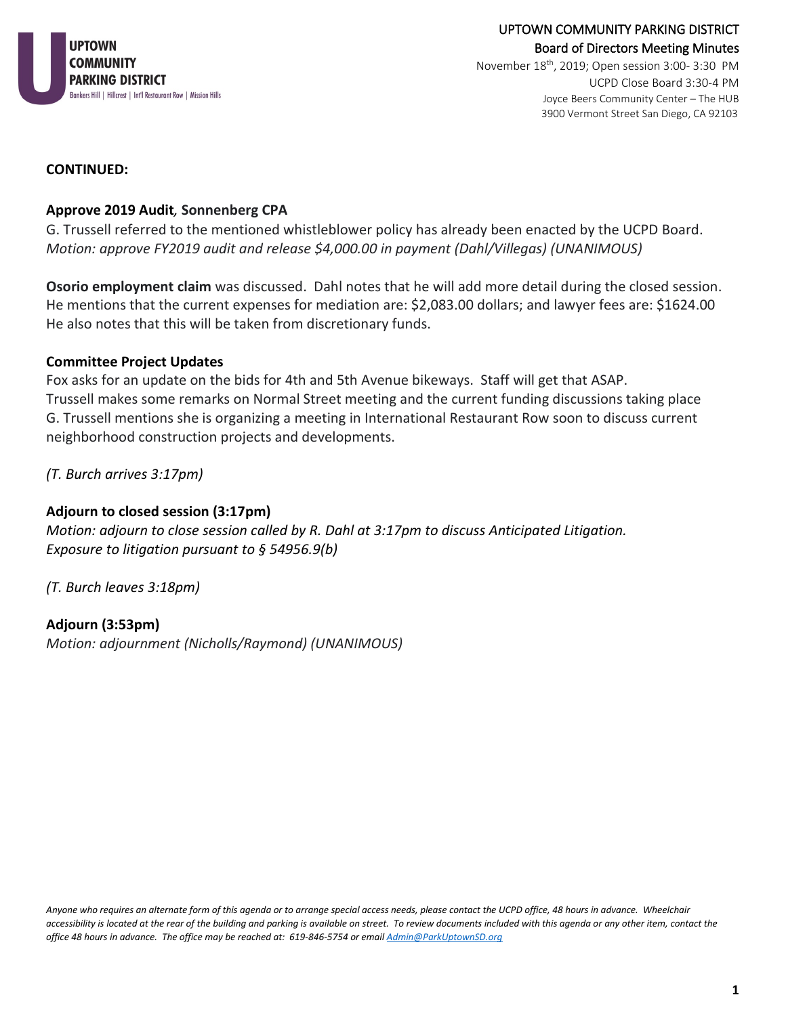

November 18th, 2019; Open session 3:00- 3:30 PM UCPD Close Board 3:30-4 PM Joyce Beers Community Center – The HUB 3900 Vermont Street San Diego, CA 92103

### **CONTINUED:**

### **Approve 2019 Audit***,* **Sonnenberg CPA**

G. Trussell referred to the mentioned whistleblower policy has already been enacted by the UCPD Board. *Motion: approve FY2019 audit and release \$4,000.00 in payment (Dahl/Villegas) (UNANIMOUS)* 

**Osorio employment claim** was discussed. Dahl notes that he will add more detail during the closed session. He mentions that the current expenses for mediation are: \$2,083.00 dollars; and lawyer fees are: \$1624.00 He also notes that this will be taken from discretionary funds.

### **Committee Project Updates**

Fox asks for an update on the bids for 4th and 5th Avenue bikeways. Staff will get that ASAP. Trussell makes some remarks on Normal Street meeting and the current funding discussions taking place G. Trussell mentions she is organizing a meeting in International Restaurant Row soon to discuss current neighborhood construction projects and developments.

*(T. Burch arrives 3:17pm)*

### **Adjourn to closed session (3:17pm)**

*Motion: adjourn to close session called by R. Dahl at 3:17pm to discuss Anticipated Litigation. Exposure to litigation pursuant to § 54956.9(b)*

*(T. Burch leaves 3:18pm)*

**Adjourn (3:53pm)** *Motion: adjournment (Nicholls/Raymond) (UNANIMOUS)*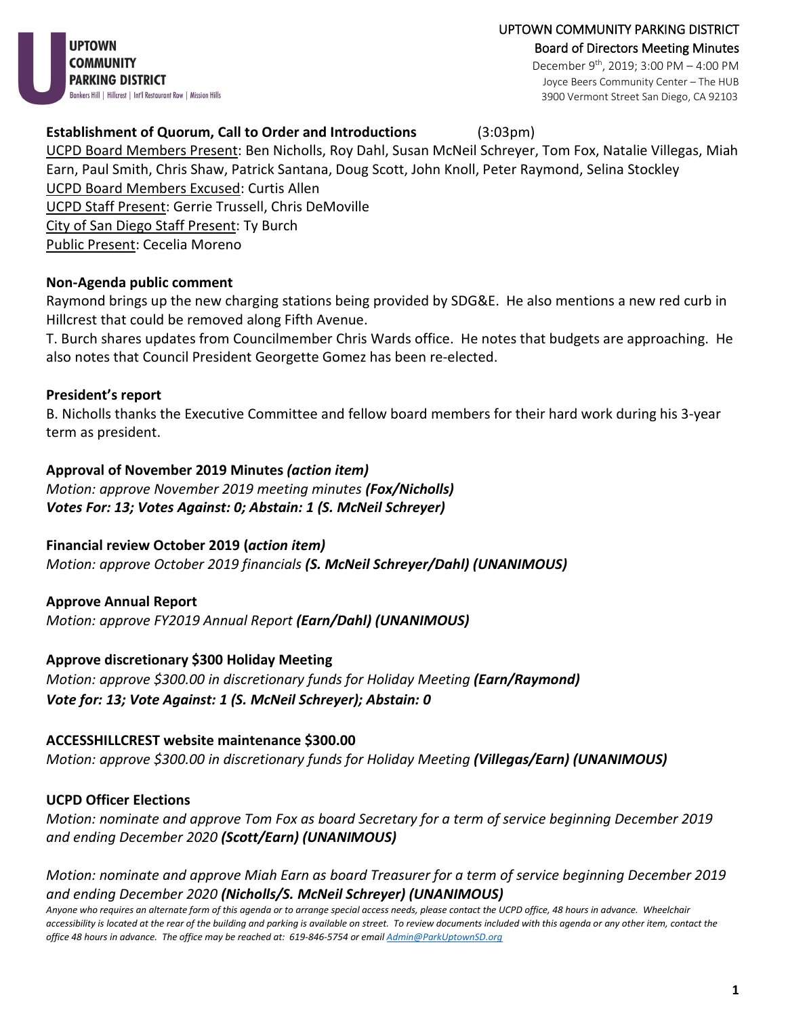UPTOWN COMMUNITY PARKING DISTRICT Board of Directors Meeting Minutes December 9th, 2019; 3:00 PM – 4:00 PM Joyce Beers Community Center – The HUB 3900 Vermont Street San Diego, CA 92103

### **Establishment of Quorum, Call to Order and Introductions** (3:03pm)

UCPD Board Members Present: Ben Nicholls, Roy Dahl, Susan McNeil Schreyer, Tom Fox, Natalie Villegas, Miah Earn, Paul Smith, Chris Shaw, Patrick Santana, Doug Scott, John Knoll, Peter Raymond, Selina Stockley UCPD Board Members Excused: Curtis Allen UCPD Staff Present: Gerrie Trussell, Chris DeMoville City of San Diego Staff Present: Ty Burch Public Present: Cecelia Moreno

#### **Non-Agenda public comment**

Raymond brings up the new charging stations being provided by SDG&E. He also mentions a new red curb in Hillcrest that could be removed along Fifth Avenue.

T. Burch shares updates from Councilmember Chris Wards office. He notes that budgets are approaching. He also notes that Council President Georgette Gomez has been re-elected.

#### **President's report**

B. Nicholls thanks the Executive Committee and fellow board members for their hard work during his 3-year term as president.

#### **Approval of November 2019 Minutes** *(action item)*

*Motion: approve November 2019 meeting minutes (Fox/Nicholls) Votes For: 13; Votes Against: 0; Abstain: 1 (S. McNeil Schreyer)*

### **Financial review October 2019 (***action item)*

*Motion: approve October 2019 financials (S. McNeil Schreyer/Dahl) (UNANIMOUS)*

#### **Approve Annual Report**

*Motion: approve FY2019 Annual Report (Earn/Dahl) (UNANIMOUS)*

### **Approve discretionary \$300 Holiday Meeting**

*Motion: approve \$300.00 in discretionary funds for Holiday Meeting (Earn/Raymond) Vote for: 13; Vote Against: 1 (S. McNeil Schreyer); Abstain: 0* 

#### **ACCESSHILLCREST website maintenance \$300.00**

*Motion: approve \$300.00 in discretionary funds for Holiday Meeting (Villegas/Earn) (UNANIMOUS)*

#### **UCPD Officer Elections**

*Motion: nominate and approve Tom Fox as board Secretary for a term of service beginning December 2019 and ending December 2020 (Scott/Earn) (UNANIMOUS)*

*Motion: nominate and approve Miah Earn as board Treasurer for a term of service beginning December 2019 and ending December 2020 (Nicholls/S. McNeil Schreyer) (UNANIMOUS)*